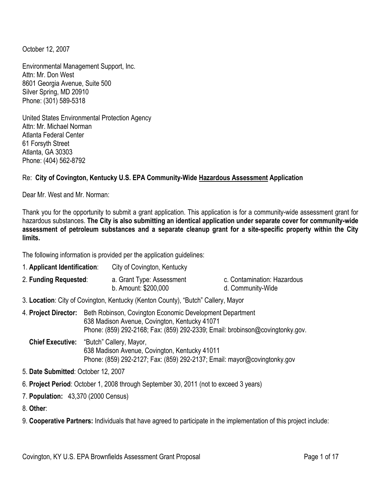October 12, 2007

Environmental Management Support, Inc. Attn: Mr. Don West 8601 Georgia Avenue, Suite 500 Silver Spring, MD 20910 Phone: (301) 589-5318

United States Environmental Protection Agency Attn: Mr. Michael Norman Atlanta Federal Center 61 Forsyth Street Atlanta, GA 30303 Phone: (404) 562-8792

### Re: **City of Covington, Kentucky U.S. EPA Community-Wide Hazardous Assessment Application**

Dear Mr. West and Mr. Norman:

Thank you for the opportunity to submit a grant application. This application is for a community-wide assessment grant for hazardous substances. **The City is also submitting an identical application under separate cover for community-wide assessment of petroleum substances and a separate cleanup grant for a site-specific property within the City limits.** 

The following information is provided per the application guidelines:

| 1. Applicant Identification:             |                                                                                                                                                                                            | City of Covington, Kentucky                                                                                               |                                                  |  |
|------------------------------------------|--------------------------------------------------------------------------------------------------------------------------------------------------------------------------------------------|---------------------------------------------------------------------------------------------------------------------------|--------------------------------------------------|--|
| 2. Funding Requested:                    |                                                                                                                                                                                            | a. Grant Type: Assessment<br>b. Amount: \$200,000                                                                         | c. Contamination: Hazardous<br>d. Community-Wide |  |
|                                          |                                                                                                                                                                                            | 3. Location: City of Covington, Kentucky (Kenton County), "Butch" Callery, Mayor                                          |                                                  |  |
| 4. Project Director:                     | Beth Robinson, Covington Economic Development Department<br>638 Madison Avenue, Covington, Kentucky 41071<br>Phone: (859) 292-2168; Fax: (859) 292-2339; Email: brobinson@covingtonky.gov. |                                                                                                                           |                                                  |  |
| Chief Executive: "Butch" Callery, Mayor, |                                                                                                                                                                                            | 638 Madison Avenue, Covington, Kentucky 41011<br>Phone: (859) 292-2127; Fax: (859) 292-2137; Email: mayor@covingtonky.gov |                                                  |  |
| 5. Date Submitted: October 12, 2007      |                                                                                                                                                                                            |                                                                                                                           |                                                  |  |
|                                          |                                                                                                                                                                                            | 6. Project Period: October 1, 2008 through September 30, 2011 (not to exceed 3 years)                                     |                                                  |  |

7. **Population:** 43,370 (2000 Census)

8. **Other**:

9. **Cooperative Partners:** Individuals that have agreed to participate in the implementation of this project include: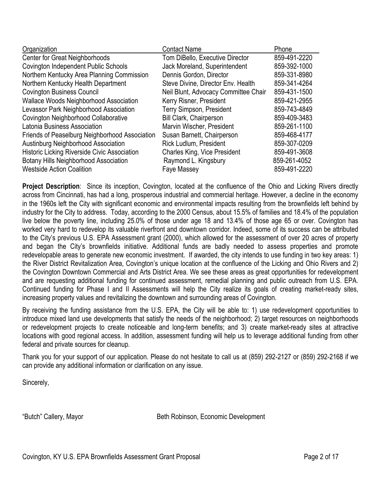| <b>Contact Name</b>                  | Phone        |
|--------------------------------------|--------------|
| Tom DiBello, Executive Director      | 859-491-2220 |
| Jack Moreland, Superintendent        | 859-392-1000 |
| Dennis Gordon, Director              | 859-331-8980 |
| Steve Divine, Director Env. Health   | 859-341-4264 |
| Neil Blunt, Advocacy Committee Chair | 859-431-1500 |
| Kerry Risner, President              | 859-421-2955 |
| <b>Terry Simpson, President</b>      | 859-743-4849 |
| <b>Bill Clark, Chairperson</b>       | 859-409-3483 |
| Marvin Wischer, President            | 859-261-1100 |
| Susan Barnett, Chairperson           | 859-468-4177 |
| <b>Rick Ludlum, President</b>        | 859-307-0209 |
| <b>Charles King, Vice President</b>  | 859-491-3608 |
| Raymond L. Kingsbury                 | 859-261-4052 |
| Faye Massey                          | 859-491-2220 |
|                                      |              |

**Project Description**: Since its inception, Covington, located at the confluence of the Ohio and Licking Rivers directly across from Cincinnati, has had a long, prosperous industrial and commercial heritage. However, a decline in the economy in the 1960s left the City with significant economic and environmental impacts resulting from the brownfields left behind by industry for the City to address. Today, according to the 2000 Census, about 15.5% of families and 18.4% of the population live below the poverty line, including 25.0% of those under age 18 and 13.4% of those age 65 or over. Covington has worked very hard to redevelop its valuable riverfront and downtown corridor. Indeed, some of its success can be attributed to the City's previous U.S. EPA Assessment grant (2000), which allowed for the assessment of over 20 acres of property and began the City's brownfields initiative. Additional funds are badly needed to assess properties and promote redevelopable areas to generate new economic investment. If awarded, the city intends to use funding in two key areas: 1) the River District Revitalization Area, Covington's unique location at the confluence of the Licking and Ohio Rivers and 2) the Covington Downtown Commercial and Arts District Area. We see these areas as great opportunities for redevelopment and are requesting additional funding for continued assessment, remedial planning and public outreach from U.S. EPA. Continued funding for Phase I and II Assessments will help the City realize its goals of creating market-ready sites, increasing property values and revitalizing the downtown and surrounding areas of Covington.

By receiving the funding assistance from the U.S. EPA, the City will be able to: 1) use redevelopment opportunities to introduce mixed land use developments that satisfy the needs of the neighborhood; 2) target resources on neighborhoods or redevelopment projects to create noticeable and long-term benefits; and 3) create market-ready sites at attractive locations with good regional access. In addition, assessment funding will help us to leverage additional funding from other federal and private sources for cleanup.

Thank you for your support of our application. Please do not hesitate to call us at (859) 292-2127 or (859) 292-2168 if we can provide any additional information or clarification on any issue.

Sincerely,

"Butch" Callery, Mayor **Beth Robinson, Economic Development**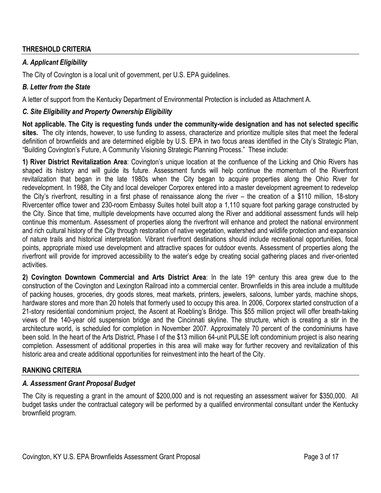#### **THRESHOLD CRITERIA**

### *A. Applicant Eligibility*

The City of Covington is a local unit of government, per U.S. EPA guidelines.

#### *B. Letter from the State*

A letter of support from the Kentucky Department of Environmental Protection is included as Attachment A.

#### *C. Site Eligibility and Property Ownership Eligibility*

**Not applicable. The City is requesting funds under the community-wide designation and has not selected specific sites.** The city intends, however, to use funding to assess, characterize and prioritize multiple sites that meet the federal definition of brownfields and are determined eligible by U.S. EPA in two focus areas identified in the City's Strategic Plan, "Building Covington's Future, A Community Visioning Strategic Planning Process." These include:

**1) River District Revitalization Area**: Covington's unique location at the confluence of the Licking and Ohio Rivers has shaped its history and will guide its future. Assessment funds will help continue the momentum of the Riverfront revitalization that began in the late 1980s when the City began to acquire properties along the Ohio River for redevelopment. In 1988, the City and local developer Corporex entered into a master development agreement to redevelop the City's riverfront, resulting in a first phase of renaissance along the river – the creation of a \$110 million, 18-story Rivercenter office tower and 230-room Embassy Suites hotel built atop a 1,110 square foot parking garage constructed by the City. Since that time, multiple developments have occurred along the River and additional assessment funds will help continue this momentum. Assessment of properties along the riverfront will enhance and protect the national environment and rich cultural history of the City through restoration of native vegetation, watershed and wildlife protection and expansion of nature trails and historical interpretation. Vibrant riverfront destinations should include recreational opportunities, focal points, appropriate mixed use development and attractive spaces for outdoor events. Assessment of properties along the riverfront will provide for improved accessibility to the water's edge by creating social gathering places and river-oriented activities.

2) Covington Downtown Commercial and Arts District Area: In the late 19<sup>th</sup> century this area grew due to the construction of the Covington and Lexington Railroad into a commercial center. Brownfields in this area include a multitude of packing houses, groceries, dry goods stores, meat markets, printers, jewelers, saloons, lumber yards, machine shops, hardware stores and more than 20 hotels that formerly used to occupy this area. In 2006, Corporex started construction of a 21-story residential condominium project, the Ascent at Roebling's Bridge. This \$55 million project will offer breath-taking views of the 140-year old suspension bridge and the Cincinnati skyline. The structure, which is creating a stir in the architecture world, is scheduled for completion in November 2007. Approximately 70 percent of the condominiums have been sold. In the heart of the Arts District, Phase I of the \$13 million 64-unit PULSE loft condominium project is also nearing completion. Assessment of additional properties in this area will make way for further recovery and revitalization of this historic area and create additional opportunities for reinvestment into the heart of the City.

#### **RANKING CRITERIA**

#### *A. Assessment Grant Proposal Budget*

The City is requesting a grant in the amount of \$200,000 and is not requesting an assessment waiver for \$350,000. All budget tasks under the contractual category will be performed by a qualified environmental consultant under the Kentucky brownfield program.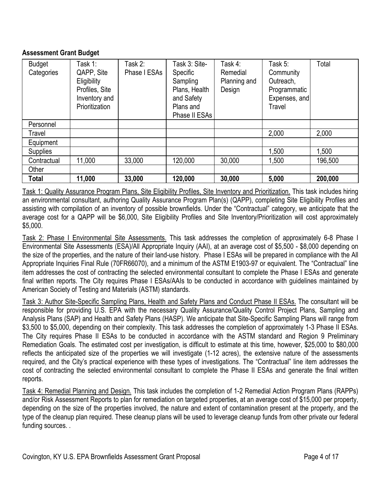### **Assessment Grant Budget**

| <b>Budget</b><br>Categories | Task 1:<br>QAPP, Site<br>Eligibility<br>Profiles, Site<br>Inventory and<br>Prioritization | Task 2:<br>Phase I ESAs | Task 3: Site-<br>Specific<br>Sampling<br>Plans, Health<br>and Safety<br>Plans and | Task 4:<br>Remedial<br>Planning and<br>Design | Task 5:<br>Community<br>Outreach,<br>Programmatic<br>Expenses, and<br>Travel | Total   |
|-----------------------------|-------------------------------------------------------------------------------------------|-------------------------|-----------------------------------------------------------------------------------|-----------------------------------------------|------------------------------------------------------------------------------|---------|
|                             |                                                                                           |                         | Phase II ESAs                                                                     |                                               |                                                                              |         |
| Personnel                   |                                                                                           |                         |                                                                                   |                                               |                                                                              |         |
| Travel                      |                                                                                           |                         |                                                                                   |                                               | 2,000                                                                        | 2,000   |
| Equipment                   |                                                                                           |                         |                                                                                   |                                               |                                                                              |         |
| <b>Supplies</b>             |                                                                                           |                         |                                                                                   |                                               | 1,500                                                                        | 1,500   |
| Contractual                 | 11,000                                                                                    | 33,000                  | 120,000                                                                           | 30,000                                        | 1,500                                                                        | 196,500 |
| Other                       |                                                                                           |                         |                                                                                   |                                               |                                                                              |         |
| Total                       | 11,000                                                                                    | 33,000                  | 120,000                                                                           | 30,000                                        | 5,000                                                                        | 200,000 |

Task 1: Quality Assurance Program Plans, Site Eligibility Profiles, Site Inventory and Prioritization. This task includes hiring an environmental consultant, authoring Quality Assurance Program Plan(s) (QAPP), completing Site Eligibility Profiles and assisting with compilation of an inventory of possible brownfields. Under the "Contractual" category, we anticipate that the average cost for a QAPP will be \$6,000, Site Eligibility Profiles and Site Inventory/Prioritization will cost approximately \$5,000.

Task 2: Phase I Environmental Site Assessments. This task addresses the completion of approximately 6-8 Phase I Environmental Site Assessments (ESA)/All Appropriate Inquiry (AAI), at an average cost of \$5,500 - \$8,000 depending on the size of the properties, and the nature of their land-use history. Phase I ESAs will be prepared in compliance with the All Appropriate Inquiries Final Rule (70FR66070), and a minimum of the ASTM E1903-97 or equivalent. The "Contractual" line item addresses the cost of contracting the selected environmental consultant to complete the Phase I ESAs and generate final written reports. The City requires Phase I ESAs/AAIs to be conducted in accordance with guidelines maintained by American Society of Testing and Materials (ASTM) standards.

Task 3: Author Site-Specific Sampling Plans, Health and Safety Plans and Conduct Phase II ESAs. The consultant will be responsible for providing U.S. EPA with the necessary Quality Assurance/Quality Control Project Plans, Sampling and Analysis Plans (SAP) and Health and Safety Plans (HASP). We anticipate that Site-Specific Sampling Plans will range from \$3,500 to \$5,000, depending on their complexity. This task addresses the completion of approximately 1-3 Phase II ESAs. The City requires Phase II ESAs to be conducted in accordance with the ASTM standard and Region 9 Preliminary Remediation Goals. The estimated cost per investigation, is difficult to estimate at this time, however, \$25,000 to \$80,000 reflects the anticipated size of the properties we will investigate (1-12 acres), the extensive nature of the assessments required, and the City's practical experience with these types of investigations. The "Contractual" line item addresses the cost of contracting the selected environmental consultant to complete the Phase II ESAs and generate the final written reports.

Task 4: Remedial Planning and Design. This task includes the completion of 1-2 Remedial Action Program Plans (RAPPs) and/or Risk Assessment Reports to plan for remediation on targeted properties, at an average cost of \$15,000 per property, depending on the size of the properties involved, the nature and extent of contamination present at the property, and the type of the cleanup plan required. These cleanup plans will be used to leverage cleanup funds from other private our federal funding sources. .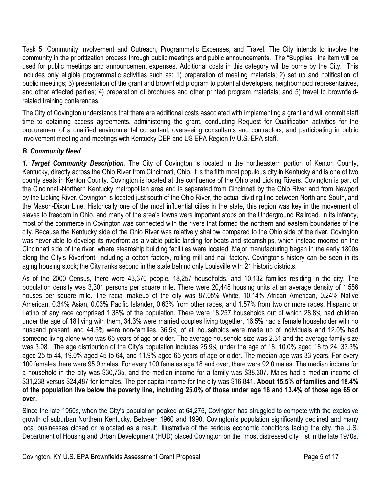Task 5: Community Involvement and Outreach, Programmatic Expenses, and Travel. The City intends to involve the community in the prioritization process through public meetings and public announcements. The "Supplies" line item will be used for public meetings and announcement expenses. Additional costs in this category will be borne by the City. This includes only eligible programmatic activities such as: 1) preparation of meeting materials; 2) set up and notification of public meetings; 3) presentation of the grant and brownfield program to potential developers, neighborhood representatives, and other affected parties; 4) preparation of brochures and other printed program materials; and 5) travel to brownfieldrelated training conferences.

The City of Covington understands that there are additional costs associated with implementing a grant and will commit staff time to obtaining access agreements, administering the grant, conducting Request for Qualification activities for the procurement of a qualified environmental consultant, overseeing consultants and contractors, and participating in public involvement meeting and meetings with Kentucky DEP and US EPA Region IV U.S. EPA staff.

# *B. Community Need*

*1. Target Community Description.* The City of Covington is located in the northeastern portion of Kenton County, Kentucky, directly across the Ohio River from Cincinnati, Ohio. It is the fifth most populous city in Kentucky and is one of two county seats in Kenton County. Covington is located at the confluence of the Ohio and Licking Rivers. Covington is part of the Cincinnati-Northern Kentucky metropolitan area and is separated from Cincinnati by the Ohio River and from Newport by the Licking River. Covington is located just south of the Ohio River, the actual dividing line between North and South, and the Mason-Dixon Line. Historically one of the most influential cities in the state, this region was key in the movement of slaves to freedom in Ohio, and many of the area's towns were important stops on the Underground Railroad. In its infancy, most of the commerce in Covington was connected with the rivers that formed the northern and eastern boundaries of the city. Because the Kentucky side of the Ohio River was relatively shallow compared to the Ohio side of the river, Covington was never able to develop its riverfront as a viable public landing for boats and steamships, which instead moored on the Cincinnati side of the river, where steamship building facilities were located. Major manufacturing began in the early 1800s along the City's Riverfront, including a cotton factory, rolling mill and nail factory. Covington's history can be seen in its aging housing stock; the City ranks second in the state behind only Louisville with 21 historic districts.

As of the 2000 Census, there were 43,370 people, 18,257 households, and 10,132 families residing in the city. The population density was 3,301 persons per square mile. There were 20,448 housing units at an average density of 1,556 houses per square mile. The racial makeup of the city was 87.05% White, 10.14% African American, 0.24% Native American, 0.34% Asian, 0.03% Pacific Islander, 0.63% from other races, and 1.57% from two or more races. Hispanic or Latino of any race comprised 1.38% of the population. There were 18,257 households out of which 28.8% had children under the age of 18 living with them, 34.3% were married couples living together, 16.5% had a female householder with no husband present, and 44.5% were non-families. 36.5% of all households were made up of individuals and 12.0% had someone living alone who was 65 years of age or older. The average household size was 2.31 and the average family size was 3.08. The age distribution of the City's population includes 25.9% under the age of 18, 10.0% aged 18 to 24, 33.3% aged 25 to 44, 19.0% aged 45 to 64, and 11.9% aged 65 years of age or older. The median age was 33 years. For every 100 females there were 95.9 males. For every 100 females age 18 and over, there were 92.0 males. The median income for a household in the city was \$30,735, and the median income for a family was \$38,307. Males had a median income of \$31,238 versus \$24,487 for females. The per capita income for the city was \$16,841. **About 15.5% of families and 18.4% of the population live below the poverty line, including 25.0% of those under age 18 and 13.4% of those age 65 or over.** 

Since the late 1950s, when the City's population peaked at 64,275, Covington has struggled to compete with the explosive growth of suburban Northern Kentucky. Between 1960 and 1990, Covington's population significantly declined and many local businesses closed or relocated as a result. Illustrative of the serious economic conditions facing the city, the U.S. Department of Housing and Urban Development (HUD) placed Covington on the "most distressed city" list in the late 1970s.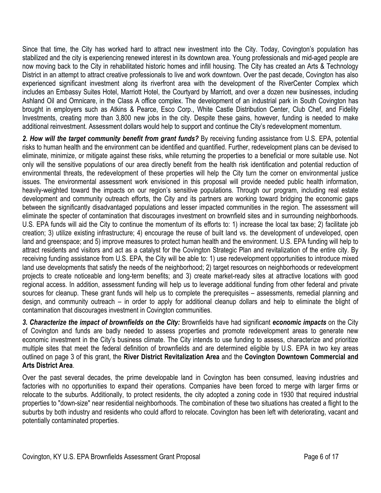Since that time, the City has worked hard to attract new investment into the City. Today, Covington's population has stabilized and the city is experiencing renewed interest in its downtown area. Young professionals and mid-aged people are now moving back to the City in rehabilitated historic homes and infill housing. The City has created an Arts & Technology District in an attempt to attract creative professionals to live and work downtown. Over the past decade, Covington has also experienced significant investment along its riverfront area with the development of the RiverCenter Complex which includes an Embassy Suites Hotel, Marriott Hotel, the Courtyard by Marriott, and over a dozen new businesses, including Ashland Oil and Omnicare, in the Class A office complex. The development of an industrial park in South Covington has brought in employers such as Atkins & Pearce, Esco Corp., White Castle Distribution Center, Club Chef, and Fidelity Investments, creating more than 3,800 new jobs in the city. Despite these gains, however, funding is needed to make additional reinvestment. Assessment dollars would help to support and continue the City's redevelopment momentum.

*2. How will the target community benefit from grant funds?* By receiving funding assistance from U.S. EPA, potential risks to human health and the environment can be identified and quantified. Further, redevelopment plans can be devised to eliminate, minimize, or mitigate against these risks, while returning the properties to a beneficial or more suitable use. Not only will the sensitive populations of our area directly benefit from the health risk identification and potential reduction of environmental threats, the redevelopment of these properties will help the City turn the corner on environmental justice issues. The environmental assessment work envisioned in this proposal will provide needed public health information, heavily-weighted toward the impacts on our region's sensitive populations. Through our program, including real estate development and community outreach efforts, the City and its partners are working toward bridging the economic gaps between the significantly disadvantaged populations and lesser impacted communities in the region. The assessment will eliminate the specter of contamination that discourages investment on brownfield sites and in surrounding neighborhoods. U.S. EPA funds will aid the City to continue the momentum of its efforts to: 1) increase the local tax base; 2) facilitate job creation; 3) utilize existing infrastructure; 4) encourage the reuse of built land vs. the development of undeveloped, open land and greenspace; and 5) improve measures to protect human health and the environment. U.S. EPA funding will help to attract residents and visitors and act as a catalyst for the Covington Strategic Plan and revitalization of the entire city. By receiving funding assistance from U.S. EPA, the City will be able to: 1) use redevelopment opportunities to introduce mixed land use developments that satisfy the needs of the neighborhood; 2) target resources on neighborhoods or redevelopment projects to create noticeable and long-term benefits; and 3) create market-ready sites at attractive locations with good regional access. In addition, assessment funding will help us to leverage additional funding from other federal and private sources for cleanup. These grant funds will help us to complete the prerequisites – assessments, remedial planning and design, and community outreach – in order to apply for additional cleanup dollars and help to eliminate the blight of contamination that discourages investment in Covington communities.

*3. Characterize the impact of brownfields on the City:* Brownfields have had significant *economic impacts* on the City of Covington and funds are badly needed to assess properties and promote redevelopment areas to generate new economic investment in the City's business climate. The City intends to use funding to assess, characterize and prioritize multiple sites that meet the federal definition of brownfields and are determined eligible by U.S. EPA in two key areas outlined on page 3 of this grant, the **River District Revitalization Area** and the **Covington Downtown Commercial and Arts District Area**.

Over the past several decades, the prime developable land in Covington has been consumed, leaving industries and factories with no opportunities to expand their operations. Companies have been forced to merge with larger firms or relocate to the suburbs. Additionally, to protect residents, the city adopted a zoning code in 1930 that required industrial properties to "down-size" near residential neighborhoods. The combination of these two situations has created a flight to the suburbs by both industry and residents who could afford to relocate. Covington has been left with deteriorating, vacant and potentially contaminated properties.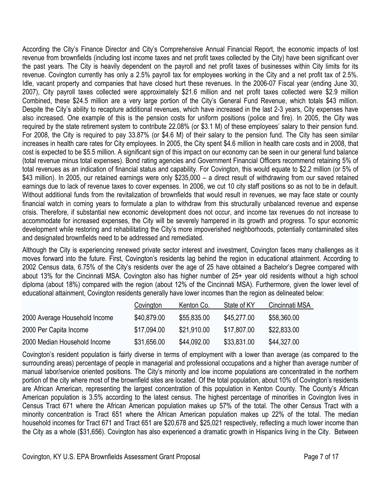According the City's Finance Director and City's Comprehensive Annual Financial Report, the economic impacts of lost revenue from brownfields (including lost income taxes and net profit taxes collected by the City) have been significant over the past years. The City is heavily dependent on the payroll and net profit taxes of businesses within City limits for its revenue. Covington currently has only a 2.5% payroll tax for employees working in the City and a net profit tax of 2.5%. Idle, vacant property and companies that have closed hurt these revenues. In the 2006-07 Fiscal year (ending June 30, 2007), City payroll taxes collected were approximately \$21.6 million and net profit taxes collected were \$2.9 million Combined, these \$24.5 million are a very large portion of the City's General Fund Revenue, which totals \$43 million. Despite the City's ability to recapture additional revenues, which have increased in the last 2-3 years, City expenses have also increased. One example of this is the pension costs for uniform positions (police and fire). In 2005, the City was required by the state retirement system to contribute 22.08% (or \$3.1 M) of these employees' salary to their pension fund. For 2008, the City is required to pay 33.87% (or \$4.6 M) of their salary to the pension fund. The City has seen similar increases in health care rates for City employees. In 2005, the City spent \$4.6 million in health care costs and in 2008, that cost is expected to be \$5.5 million. A significant sign of this impact on our economy can be seen in our general fund balance (total revenue minus total expenses). Bond rating agencies and Government Financial Officers recommend retaining 5% of total revenues as an indication of financial status and capability. For Covington, this would equate to \$2.2 million (or 5% of \$43 million). In 2005, our retained earnings were only \$235,000 – a direct result of withdrawing from our saved retained earnings due to lack of revenue taxes to cover expenses. In 2006, we cut 10 city staff positions so as not to be in default. Without additional funds from the revitalization of brownfields that would result in revenues, we may face state or county financial watch in coming years to formulate a plan to withdraw from this structurally unbalanced revenue and expense crisis. Therefore, if substantial new economic development does not occur, and income tax revenues do not increase to accommodate for increased expenses, the City will be severely hampered in its growth and progress. To spur economic development while restoring and rehabilitating the City's more impoverished neighborhoods, potentially contaminated sites and designated brownfields need to be addressed and remediated.

Although the City is experiencing renewed private sector interest and investment, Covington faces many challenges as it moves forward into the future. First, Covington's residents lag behind the region in educational attainment. According to 2002 Census data, 6.75% of the City's residents over the age of 25 have obtained a Bachelor's Degree compared with about 13% for the Cincinnati MSA. Covington also has higher number of 25+ year old residents without a high school diploma (about 18%) compared with the region (about 12% of the Cincinnati MSA). Furthermore, given the lower level of educational attainment, Covington residents generally have lower incomes than the region as delineated below:

|                               | Covington   | Kenton Co.  | State of KY | Cincinnati MSA |
|-------------------------------|-------------|-------------|-------------|----------------|
| 2000 Average Household Income | \$40,879.00 | \$55,835.00 | \$45,277.00 | \$58,360.00    |
| 2000 Per Capita Income        | \$17,094.00 | \$21.910.00 | \$17,807.00 | \$22,833.00    |
| 2000 Median Household Income  | \$31,656.00 | \$44,092.00 | \$33,831.00 | \$44,327.00    |

Covington's resident population is fairly diverse in terms of employment with a lower than average (as compared to the surrounding areas) percentage of people in managerial and professional occupations and a higher than average number of manual labor/service oriented positions. The City's minority and low income populations are concentrated in the northern portion of the city where most of the brownfield sites are located. Of the total population, about 10% of Covington's residents are African American, representing the largest concentration of this population in Kenton County. The County's African American population is 3.5% according to the latest census. The highest percentage of minorities in Covington lives in Census Tract 671 where the African American population makes up 57% of the total. The other Census Tract with a minority concentration is Tract 651 where the African American population makes up 22% of the total. The median household incomes for Tract 671 and Tract 651 are \$20,678 and \$25,021 respectively, reflecting a much lower income than the City as a whole (\$31,656). Covington has also experienced a dramatic growth in Hispanics living in the City. Between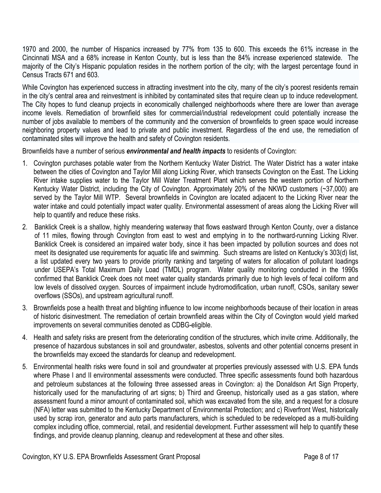1970 and 2000, the number of Hispanics increased by 77% from 135 to 600. This exceeds the 61% increase in the Cincinnati MSA and a 68% increase in Kenton County, but is less than the 84% increase experienced statewide. The majority of the City's Hispanic population resides in the northern portion of the city; with the largest percentage found in Census Tracts 671 and 603.

While Covington has experienced success in attracting investment into the city, many of the city's poorest residents remain in the city's central area and reinvestment is inhibited by contaminated sites that require clean up to induce redevelopment. The City hopes to fund cleanup projects in economically challenged neighborhoods where there are lower than average income levels. Remediation of brownfield sites for commercial/industrial redevelopment could potentially increase the number of jobs available to members of the community and the conversion of brownfields to green space would increase neighboring property values and lead to private and public investment. Regardless of the end use, the remediation of contaminated sites will improve the health and safety of Covington residents.

Brownfields have a number of serious *environmental and health impacts* to residents of Covington:

- 1. Covington purchases potable water from the Northern Kentucky Water District. The Water District has a water intake between the cities of Covington and Taylor Mill along Licking River, which transects Covington on the East. The Licking River intake supplies water to the Taylor Mill Water Treatment Plant which serves the western portion of Northern Kentucky Water District, including the City of Covington. Approximately 20% of the NKWD customers (~37,000) are served by the Taylor Mill WTP. Several brownfields in Covington are located adjacent to the Licking River near the water intake and could potentially impact water quality. Environmental assessment of areas along the Licking River will help to quantify and reduce these risks.
- 2. Banklick Creek is a shallow, highly meandering waterway that flows eastward through Kenton County, over a distance of 11 miles, flowing through Covington from east to west and emptying in to the northward-running Licking River. Banklick Creek is considered an impaired water body, since it has been impacted by pollution sources and does not meet its designated use requirements for aquatic life and swimming. Such streams are listed on Kentucky's 303(d) list, a list updated every two years to provide priority ranking and targeting of waters for allocation of pollutant loadings under USEPA's Total Maximum Daily Load (TMDL) program. Water quality monitoring conducted in the 1990s confirmed that Banklick Creek does not meet water quality standards primarily due to high levels of fecal coliform and low levels of dissolved oxygen. Sources of impairment include hydromodification, urban runoff, CSOs, sanitary sewer overflows (SSOs), and upstream agricultural runoff.
- 3. Brownfields pose a health threat and blighting influence to low income neighborhoods because of their location in areas of historic disinvestment. The remediation of certain brownfield areas within the City of Covington would yield marked improvements on several communities denoted as CDBG-eligible.
- 4. Health and safety risks are present from the deteriorating condition of the structures, which invite crime. Additionally, the presence of hazardous substances in soil and groundwater, asbestos, solvents and other potential concerns present in the brownfields may exceed the standards for cleanup and redevelopment.
- 5. Environmental health risks were found in soil and groundwater at properties previously assessed with U.S. EPA funds where Phase I and II environmental assessments were conducted. Three specific assessments found both hazardous and petroleum substances at the following three assessed areas in Covington: a) the Donaldson Art Sign Property, historically used for the manufacturing of art signs; b) Third and Greenup, historically used as a gas station, where assessment found a minor amount of contaminated soil, which was excavated from the site, and a request for a closure (NFA) letter was submitted to the Kentucky Department of Environmental Protection; and c) Riverfront West, historically used by scrap iron, generator and auto parts manufacturers, which is scheduled to be redeveloped as a multi-building complex including office, commercial, retail, and residential development. Further assessment will help to quantify these findings, and provide cleanup planning, cleanup and redevelopment at these and other sites.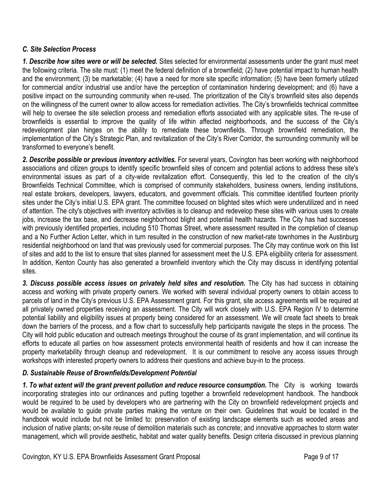### *C. Site Selection Process*

*1. Describe how sites were or will be selected.* Sites selected for environmental assessments under the grant must meet the following criteria. The site must: (1) meet the federal definition of a brownfield; (2) have potential impact to human health and the environment; (3) be marketable; (4) have a need for more site specific information; (5) have been formerly utilized for commercial and/or industrial use and/or have the perception of contamination hindering development; and (6) have a positive impact on the surrounding community when re-used. The prioritization of the City's brownfield sites also depends on the willingness of the current owner to allow access for remediation activities. The City's brownfields technical committee will help to oversee the site selection process and remediation efforts associated with any applicable sites. The re-use of brownfields is essential to improve the quality of life within affected neighborhoods, and the success of the City's redevelopment plan hinges on the ability to remediate these brownfields. Through brownfield remediation, the implementation of the City's Strategic Plan, and revitalization of the City's River Corridor, the surrounding community will be transformed to everyone's benefit.

2. Describe possible or previous inventory activities. For several years, Covington has been working with neighborhood associations and citizen groups to identify specific brownfield sites of concern and potential actions to address these site's environmental issues as part of a city-wide revitalization effort. Consequently, this led to the creation of the city's Brownfields Technical Committee, which is comprised of community stakeholders, business owners, lending institutions, real estate brokers, developers, lawyers, educators, and government officials. This committee identified fourteen priority sites under the City's initial U.S. EPA grant. The committee focused on blighted sites which were underutilized and in need of attention. The city's objectives with inventory activities is to cleanup and redevelop these sites with various uses to create jobs, increase the tax base, and decrease neighborhood blight and potential health hazards. The City has had successes with previously identified properties, including 510 Thomas Street, where assessment resulted in the completion of cleanup and a No Further Action Letter, which in turn resulted in the construction of new market-rate townhomes in the Austinburg residential neighborhood on land that was previously used for commercial purposes. The City may continue work on this list of sites and add to the list to ensure that sites planned for assessment meet the U.S. EPA eligibility criteria for assessment. In addition, Kenton County has also generated a brownfield inventory which the City may discuss in identifying potential sites.

3. Discuss possible access issues on privately held sites and resolution. The City has had success in obtaining access and working with private property owners. We worked with several individual property owners to obtain access to parcels of land in the City's previous U.S. EPA Assessment grant. For this grant, site access agreements will be required at all privately owned properties receiving an assessment. The City will work closely with U.S. EPA Region IV to determine potential liability and eligibility issues at property being considered for an assessment. We will create fact sheets to break down the barriers of the process, and a flow chart to successfully help participants navigate the steps in the process. The City will hold public education and outreach meetings throughout the course of its grant implementation, and will continue its efforts to educate all parties on how assessment protects environmental health of residents and how it can increase the property marketability through cleanup and redevelopment. It is our commitment to resolve any access issues through workshops with interested property owners to address their questions and achieve buy-in to the process.

# *D. Sustainable Reuse of Brownfields/Development Potential*

*1. To what extent will the grant prevent pollution and reduce resource consumption.* The City is working towards incorporating strategies into our ordinances and putting together a brownfield redevelopment handbook. The handbook would be required to be used by developers who are partnering with the City on brownfield redevelopment projects and would be available to guide private parties making the venture on their own. Guidelines that would be located in the handbook would include but not be limited to: preservation of existing landscape elements such as wooded areas and inclusion of native plants; on-site reuse of demolition materials such as concrete; and innovative approaches to storm water management, which will provide aesthetic, habitat and water quality benefits. Design criteria discussed in previous planning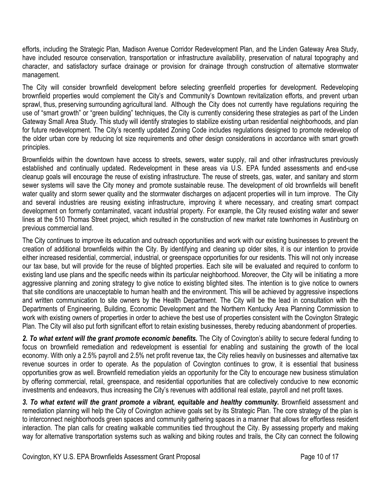efforts, including the Strategic Plan, Madison Avenue Corridor Redevelopment Plan, and the Linden Gateway Area Study, have included resource conservation, transportation or infrastructure availability, preservation of natural topography and character, and satisfactory surface drainage or provision for drainage through construction of alternative stormwater management.

The City will consider brownfield development before selecting greenfield properties for development. Redeveloping brownfield properties would complement the City's and Community's Downtown revitalization efforts, and prevent urban sprawl, thus, preserving surrounding agricultural land. Although the City does not currently have regulations requiring the use of "smart growth" or "green building" techniques, the City is currently considering these strategies as part of the Linden Gateway Small Area Study. This study will identify strategies to stabilize existing urban residential neighborhoods, and plan for future redevelopment. The City's recently updated Zoning Code includes regulations designed to promote redevelop of the older urban core by reducing lot size requirements and other design considerations in accordance with smart growth principles.

Brownfields within the downtown have access to streets, sewers, water supply, rail and other infrastructures previously established and continually updated. Redevelopment in these areas via U.S. EPA funded assessments and end-use cleanup goals will encourage the reuse of existing infrastructure. The reuse of streets, gas, water, and sanitary and storm sewer systems will save the City money and promote sustainable reuse. The development of old brownfields will benefit water quality and storm sewer quality and the stormwater discharges on adjacent properties will in turn improve. The City and several industries are reusing existing infrastructure, improving it where necessary, and creating smart compact development on formerly contaminated, vacant industrial property. For example, the City reused existing water and sewer lines at the 510 Thomas Street project, which resulted in the construction of new market rate townhomes in Austinburg on previous commercial land.

The City continues to improve its education and outreach opportunities and work with our existing businesses to prevent the creation of additional brownfields within the City. By identifying and cleaning up older sites, it is our intention to provide either increased residential, commercial, industrial, or greenspace opportunities for our residents. This will not only increase our tax base, but will provide for the reuse of blighted properties. Each site will be evaluated and required to conform to existing land use plans and the specific needs within its particular neighborhood. Moreover, the City will be initiating a more aggressive planning and zoning strategy to give notice to existing blighted sites. The intention is to give notice to owners that site conditions are unacceptable to human health and the environment. This will be achieved by aggressive inspections and written communication to site owners by the Health Department. The City will be the lead in consultation with the Departments of Engineering, Building, Economic Development and the Northern Kentucky Area Planning Commission to work with existing owners of properties in order to achieve the best use of properties consistent with the Covington Strategic Plan. The City will also put forth significant effort to retain existing businesses, thereby reducing abandonment of properties.

2. To what extent will the grant promote economic benefits. The City of Covington's ability to secure federal funding to focus on brownfield remediation and redevelopment is essential for enabling and sustaining the growth of the local economy. With only a 2.5% payroll and 2.5% net profit revenue tax, the City relies heavily on businesses and alternative tax revenue sources in order to operate. As the population of Covington continues to grow, it is essential that business opportunities grow as well. Brownfield remediation yields an opportunity for the City to encourage new business stimulation by offering commercial, retail, greenspace, and residential opportunities that are collectively conducive to new economic investments and endeavors, thus increasing the City's revenues with additional real estate, payroll and net profit taxes.

3. To what extent will the grant promote a vibrant, equitable and healthy community. Brownfield assessment and remediation planning will help the City of Covington achieve goals set by its Strategic Plan. The core strategy of the plan is to interconnect neighborhoods green spaces and community gathering spaces in a manner that allows for effortless resident interaction. The plan calls for creating walkable communities tied throughout the City. By assessing property and making way for alternative transportation systems such as walking and biking routes and trails, the City can connect the following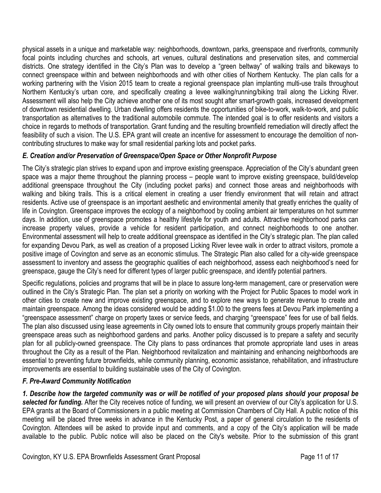physical assets in a unique and marketable way: neighborhoods, downtown, parks, greenspace and riverfronts, community focal points including churches and schools, art venues, cultural destinations and preservation sites, and commercial districts. One strategy identified in the City's Plan was to develop a "green beltway" of walking trails and bikeways to connect greenspace within and between neighborhoods and with other cities of Northern Kentucky. The plan calls for a working partnering with the Vision 2015 team to create a regional greenspace plan implanting multi-use trails throughout Northern Kentucky's urban core, and specifically creating a levee walking/running/biking trail along the Licking River. Assessment will also help the City achieve another one of its most sought after smart-growth goals, increased development of downtown residential dwelling. Urban dwelling offers residents the opportunities of bike-to-work, walk-to-work, and public transportation as alternatives to the traditional automobile commute. The intended goal is to offer residents and visitors a choice in regards to methods of transportation. Grant funding and the resulting brownfield remediation will directly affect the feasibility of such a vision. The U.S. EPA grant will create an incentive for assessment to encourage the demolition of noncontributing structures to make way for small residential parking lots and pocket parks.

# *E. Creation and/or Preservation of Greenspace/Open Space or Other Nonprofit Purpose*

The City's strategic plan strives to expand upon and improve existing greenspace. Appreciation of the City's abundant green space was a major theme throughout the planning process – people want to improve existing greenspace, build/develop additional greenspace throughout the City (including pocket parks) and connect those areas and neighborhoods with walking and biking trails. This is a critical element in creating a user friendly environment that will retain and attract residents. Active use of greenspace is an important aesthetic and environmental amenity that greatly enriches the quality of life in Covington. Greenspace improves the ecology of a neighborhood by cooling ambient air temperatures on hot summer days. In addition, use of greenspace promotes a healthy lifestyle for youth and adults. Attractive neighborhood parks can increase property values, provide a vehicle for resident participation, and connect neighborhoods to one another. Environmental assessment will help to create additional greenspace as identified in the City's strategic plan. The plan called for expanding Devou Park, as well as creation of a proposed Licking River levee walk in order to attract visitors, promote a positive image of Covington and serve as an economic stimulus. The Strategic Plan also called for a city-wide greenspace assessment to inventory and assess the geographic qualities of each neighborhood, assess each neighborhood's need for greenspace, gauge the City's need for different types of larger public greenspace, and identify potential partners.

Specific regulations, policies and programs that will be in place to assure long-term management, care or preservation were outlined in the City's Strategic Plan. The plan set a priority on working with the Project for Public Spaces to model work in other cities to create new and improve existing greenspace, and to explore new ways to generate revenue to create and maintain greenspace. Among the ideas considered would be adding \$1.00 to the greens fees at Devou Park implementing a "greenspace assessment" charge on property taxes or service feeds, and charging "greenspace" fees for use of ball fields. The plan also discussed using lease agreements in City owned lots to ensure that community groups properly maintain their greenspace areas such as neighborhood gardens and parks. Another policy discussed is to prepare a safety and security plan for all publicly-owned greenspace. The City plans to pass ordinances that promote appropriate land uses in areas throughout the City as a result of the Plan. Neighborhood revitalization and maintaining and enhancing neighborhoods are essential to preventing future brownfields, while community planning, economic assistance, rehabilitation, and infrastructure improvements are essential to building sustainable uses of the City of Covington.

# *F. Pre-Award Community Notification*

*1. Describe how the targeted community was or will be notified of your proposed plans should your proposal be selected for funding.* After the City receives notice of funding, we will present an overview of our City's application for U.S. EPA grants at the Board of Commissioners in a public meeting at Commission Chambers of City Hall. A public notice of this meeting will be placed three weeks in advance in the Kentucky Post, a paper of general circulation to the residents of Covington. Attendees will be asked to provide input and comments, and a copy of the City's application will be made available to the public. Public notice will also be placed on the City's website. Prior to the submission of this grant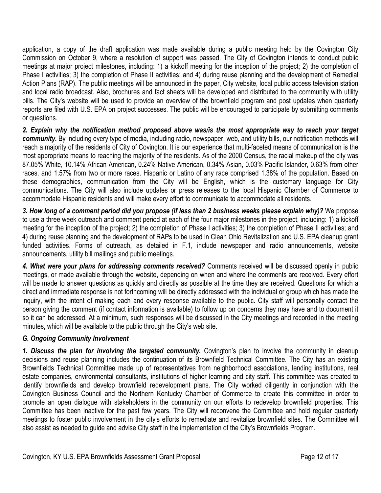application, a copy of the draft application was made available during a public meeting held by the Covington City Commission on October 9, where a resolution of support was passed. The City of Covington intends to conduct public meetings at major project milestones, including: 1) a kickoff meeting for the inception of the project; 2) the completion of Phase I activities; 3) the completion of Phase II activities; and 4) during reuse planning and the development of Remedial Action Plans (RAP). The public meetings will be announced in the paper, City website, local public access television station and local radio broadcast. Also, brochures and fact sheets will be developed and distributed to the community with utility bills. The City's website will be used to provide an overview of the brownfield program and post updates when quarterly reports are filed with U.S. EPA on project successes. The public will be encouraged to participate by submitting comments or questions.

*2. Explain why the notification method proposed above was/is the most appropriate way to reach your target community.* By including every type of media, including radio, newspaper, web, and utility bills, our notification methods will reach a majority of the residents of City of Covington. It is our experience that multi-faceted means of communication is the most appropriate means to reaching the majority of the residents. As of the 2000 Census, the racial makeup of the city was 87.05% White, 10.14% African American, 0.24% Native American, 0.34% Asian, 0.03% Pacific Islander, 0.63% from other races, and 1.57% from two or more races. Hispanic or Latino of any race comprised 1.38% of the population. Based on these demographics, communication from the City will be English, which is the customary language for City communications. The City will also include updates or press releases to the local Hispanic Chamber of Commerce to accommodate Hispanic residents and will make every effort to communicate to accommodate all residents.

*3. How long of a comment period did you propose (if less than 2 business weeks please explain why)?* We propose to use a three week outreach and comment period at each of the four major milestones in the project, including: 1) a kickoff meeting for the inception of the project; 2) the completion of Phase I activities; 3) the completion of Phase II activities; and 4) during reuse planning and the development of RAPs to be used in Clean Ohio Revitalization and U.S. EPA cleanup grant funded activities. Forms of outreach, as detailed in F.1, include newspaper and radio announcements, website announcements, utility bill mailings and public meetings.

*4. What were your plans for addressing comments received?* Comments received will be discussed openly in public meetings, or made available through the website, depending on when and where the comments are received. Every effort will be made to answer questions as quickly and directly as possible at the time they are received. Questions for which a direct and immediate response is not forthcoming will be directly addressed with the individual or group which has made the inquiry, with the intent of making each and every response available to the public. City staff will personally contact the person giving the comment (if contact information is available) to follow up on concerns they may have and to document it so it can be addressed. At a minimum, such responses will be discussed in the City meetings and recorded in the meeting minutes, which will be available to the public through the City's web site.

# *G. Ongoing Community Involvement*

*1. Discuss the plan for involving the targeted community.* Covington's plan to involve the community in cleanup decisions and reuse planning includes the continuation of its Brownfield Technical Committee. The City has an existing Brownfields Technical Committee made up of representatives from neighborhood associations, lending institutions, real estate companies, environmental consultants, institutions of higher learning and city staff. This committee was created to identify brownfields and develop brownfield redevelopment plans. The City worked diligently in conjunction with the Covington Business Council and the Northern Kentucky Chamber of Commerce to create this committee in order to promote an open dialogue with stakeholders in the community on our efforts to redevelop brownfield properties. This Committee has been inactive for the past few years. The City will reconvene the Committee and hold regular quarterly meetings to foster public involvement in the city's efforts to remediate and revitalize brownfield sites. The Committee will also assist as needed to guide and advise City staff in the implementation of the City's Brownfields Program.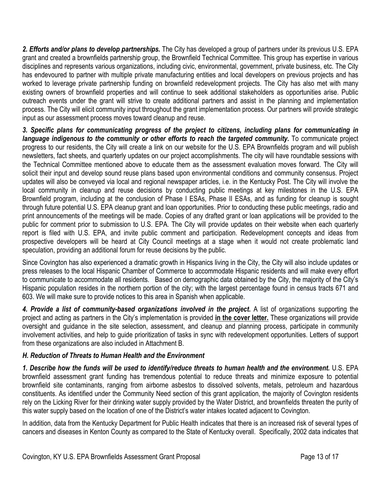*2. Efforts and/or plans to develop partnerships.* The City has developed a group of partners under its previous U.S. EPA grant and created a brownfields partnership group, the Brownfield Technical Committee. This group has expertise in various disciplines and represents various organizations, including civic, environmental, government, private business, etc. The City has endevoured to partner with multiple private manufacturing entities and local developers on previous projects and has worked to leverage private partnership funding on brownfield redevelopment projects. The City has also met with many existing owners of brownfield properties and will continue to seek additional stakeholders as opportunities arise. Public outreach events under the grant will strive to create additional partners and assist in the planning and implementation process. The City will elicit community input throughout the grant implementation process. Our partners will provide strategic input as our assessment process moves toward cleanup and reuse.

*3. Specific plans for communicating progress of the project to citizens, including plans for communicating in*  language indigenous to the community or other efforts to reach the targeted community. To communicate project progress to our residents, the City will create a link on our website for the U.S. EPA Brownfields program and will publish newsletters, fact sheets, and quarterly updates on our project accomplishments. The city will have roundtable sessions with the Technical Committee mentioned above to educate them as the assessment evaluation moves forward. The City will solicit their input and develop sound reuse plans based upon environmental conditions and community consensus. Project updates will also be conveyed via local and regional newspaper articles, i.e. in the Kentucky Post. The City will involve the local community in cleanup and reuse decisions by conducting public meetings at key milestones in the U.S. EPA Brownfield program, including at the conclusion of Phase I ESAs, Phase II ESAs, and as funding for cleanup is sought through future potential U.S. EPA cleanup grant and loan opportunities. Prior to conducting these public meetings, radio and print announcements of the meetings will be made. Copies of any drafted grant or loan applications will be provided to the public for comment prior to submission to U.S. EPA. The City will provide updates on their website when each quarterly report is filed with U.S. EPA, and invite public comment and participation. Redevelopment concepts and ideas from prospective developers will be heard at City Council meetings at a stage when it would not create problematic land speculation, providing an additional forum for reuse decisions by the public.

Since Covington has also experienced a dramatic growth in Hispanics living in the City, the City will also include updates or press releases to the local Hispanic Chamber of Commerce to accommodate Hispanic residents and will make every effort to communicate to accommodate all residents. Based on demographic data obtained by the City, the majority of the City's Hispanic population resides in the northern portion of the city; with the largest percentage found in census tracts 671 and 603. We will make sure to provide notices to this area in Spanish when applicable.

*4. Provide a list of community-based organizations involved in the project***.** A list of organizations supporting the project and acting as partners in the City's implementation is provided **in the cover letter.** These organizations will provide oversight and guidance in the site selection, assessment, and cleanup and planning process, participate in community involvement activities, and help to guide prioritization of tasks in sync with redevelopment opportunities. Letters of support from these organizations are also included in Attachment B.

# *H. Reduction of Threats to Human Health and the Environment*

*1. Describe how the funds will be used to identify/reduce threats to human health and the environment.* U.S. EPA brownfield assessment grant funding has tremendous potential to reduce threats and minimize exposure to potential brownfield site contaminants, ranging from airborne asbestos to dissolved solvents, metals, petroleum and hazardous constituents. As identified under the Community Need section of this grant application, the majority of Covington residents rely on the Licking River for their drinking water supply provided by the Water District, and brownfields threaten the purity of this water supply based on the location of one of the District's water intakes located adjacent to Covington.

In addition, data from the Kentucky Department for Public Health indicates that there is an increased risk of several types of cancers and diseases in Kenton County as compared to the State of Kentucky overall. Specifically, 2002 data indicates that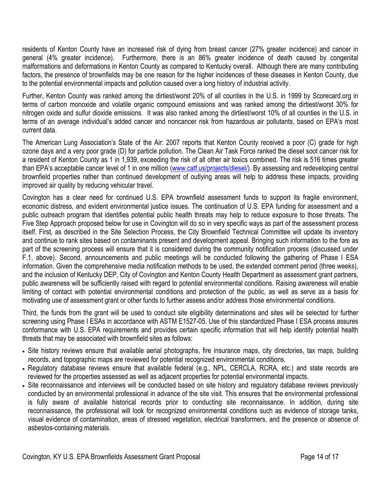residents of Kenton County have an increased risk of dying from breast cancer (27% greater incidence) and cancer in general (4% greater incidence). Furthermore, there is an 86% greater incidence of death caused by congenital malformations and deformations in Kenton County as compared to Kentucky overall. Although there are many contributing factors, the presence of brownfields may be one reason for the higher incidences of these diseases in Kenton County, due to the potential environmental impacts and pollution caused over a long history of industrial activity.

Further, Kenton County was ranked among the dirtiest/worst 20% of all counties in the U.S. in 1999 by Scorecard.org in terms of carbon monoxide and volatile organic compound emissions and was ranked among the dirtiest/worst 30% for nitrogen oxide and sulfur dioxide emissions. It was also ranked among the dirtiest/worst 10% of all counties in the U.S. in terms of an average individual's added cancer and noncancer risk from hazardous air pollutants, based on EPA's most current data.

The American Lung Association's State of the Air: 2007 reports that Kenton County received a poor (C) grade for high ozone days and a very poor grade (D) for particle pollution. The Clean Air Task Force ranked the diesel soot cancer risk for a resident of Kenton County as 1 in 1,939, exceeding the risk of all other air toxics combined. The risk is 516 times greater than EPA's acceptable cancer level of 1 in one million (www.catf.us/projects/diesel/). By assessing and redeveloping central brownfield properties rather than continued development of outlying areas will help to address these impacts, providing improved air quality by reducing vehicular travel.

Covington has a clear need for continued U.S. EPA brownfield assessment funds to support its fragile environment, economic distress, and evident environmental justice issues. The continuation of U.S. EPA funding for assessment and a public outreach program that identifies potential public health threats may help to reduce exposure to those threats. The Five Step Approach proposed below for use in Covington will do so in very specific ways as part of the assessment process itself. First, as described in the Site Selection Process, the City Brownfield Technical Committee will update its inventory and continue to rank sites based on contaminants present and development appeal. Bringing such information to the fore as part of the screening process will ensure that it is considered during the community notification process (discussed under F.1, above). Second, announcements and public meetings will be conducted following the gathering of Phase I ESA information. Given the comprehensive media notification methods to be used, the extended comment period (three weeks), and the inclusion of Kentucky DEP, City of Covington and Kenton County Health Department as assessment grant partners, public awareness will be sufficiently raised with regard to potential environmental conditions. Raising awareness will enable limiting of contact with potential environmental conditions and protection of the public, as well as serve as a basis for motivating use of assessment grant or other funds to further assess and/or address those environmental conditions.

Third, the funds from the grant will be used to conduct site eligibility determinations and sites will be selected for further screening using Phase I ESAs in accordance with ASTM E1527-05. Use of this standardized Phase I ESA process assures conformance with U.S. EPA requirements and provides certain specific information that will help identify potential health threats that may be associated with brownfield sites as follows:

- Site history reviews ensure that available aerial photographs, fire insurance maps, city directories, tax maps, building records, and topographic maps are reviewed for potential recognized environmental conditions.
- Regulatory database reviews ensure that available federal (e.g., NPL, CERCLA, RCRA, etc.) and state records are reviewed for the properties assessed as well as adjacent properties for potential environmental impacts.
- Site reconnaissance and interviews will be conducted based on site history and regulatory database reviews previously conducted by an environmental professional in advance of the site visit. This ensures that the environmental professional is fully aware of available historical records prior to conducting site reconnaissance. In addition, during site reconnaissance, the professional will look for recognized environmental conditions such as evidence of storage tanks, visual evidence of contamination, areas of stressed vegetation, electrical transformers, and the presence or absence of asbestos-containing materials.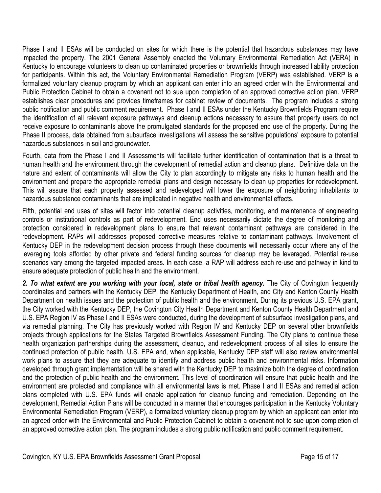Phase I and II ESAs will be conducted on sites for which there is the potential that hazardous substances may have impacted the property. The 2001 General Assembly enacted the Voluntary Environmental Remediation Act (VERA) in Kentucky to encourage volunteers to clean up contaminated properties or brownfields through increased liability protection for participants. Within this act, the Voluntary Environmental Remediation Program (VERP) was established. VERP is a formalized voluntary cleanup program by which an applicant can enter into an agreed order with the Environmental and Public Protection Cabinet to obtain a covenant not to sue upon completion of an approved corrective action plan. VERP establishes clear procedures and provides timeframes for cabinet review of documents. The program includes a strong public notification and public comment requirement. Phase I and II ESAs under the Kentucky Brownfields Program require the identification of all relevant exposure pathways and cleanup actions necessary to assure that property users do not receive exposure to contaminants above the promulgated standards for the proposed end use of the property. During the Phase II process, data obtained from subsurface investigations will assess the sensitive populations' exposure to potential hazardous substances in soil and groundwater.

Fourth, data from the Phase I and II Assessments will facilitate further identification of contamination that is a threat to human health and the environment through the development of remedial action and cleanup plans. Definitive data on the nature and extent of contaminants will allow the City to plan accordingly to mitigate any risks to human health and the environment and prepare the appropriate remedial plans and design necessary to clean up properties for redevelopment. This will assure that each property assessed and redeveloped will lower the exposure of neighboring inhabitants to hazardous substance contaminants that are implicated in negative health and environmental effects.

Fifth, potential end uses of sites will factor into potential cleanup activities, monitoring, and maintenance of engineering controls or institutional controls as part of redevelopment. End uses necessarily dictate the degree of monitoring and protection considered in redevelopment plans to ensure that relevant contaminant pathways are considered in the redevelopment. RAPs will addresses proposed corrective measures relative to contaminant pathways. Involvement of Kentucky DEP in the redevelopment decision process through these documents will necessarily occur where any of the leveraging tools afforded by other private and federal funding sources for cleanup may be leveraged. Potential re-use scenarios vary among the targeted impacted areas. In each case, a RAP will address each re-use and pathway in kind to ensure adequate protection of public health and the environment.

2. To what extent are you working with your local, state or tribal health agency. The City of Covington frequently coordinates and partners with the Kentucky DEP, the Kentucky Department of Health, and City and Kenton County Health Department on health issues and the protection of public health and the environment. During its previous U.S. EPA grant, the City worked with the Kentucky DEP, the Covington City Health Department and Kenton County Health Department and U.S. EPA Region IV as Phase I and II ESAs were conducted, during the development of subsurface investigation plans, and via remedial planning. The City has previously worked with Region IV and Kentucky DEP on several other brownfields projects through applications for the States Targeted Brownfields Assessment Funding. The City plans to continue these health organization partnerships during the assessment, cleanup, and redevelopment process of all sites to ensure the continued protection of public health. U.S. EPA and, when applicable, Kentucky DEP staff will also review environmental work plans to assure that they are adequate to identify and address public health and environmental risks. Information developed through grant implementation will be shared with the Kentucky DEP to maximize both the degree of coordination and the protection of public health and the environment. This level of coordination will ensure that public health and the environment are protected and compliance with all environmental laws is met. Phase I and II ESAs and remedial action plans completed with U.S. EPA funds will enable application for cleanup funding and remediation. Depending on the development, Remedial Action Plans will be conducted in a manner that encourages participation in the Kentucky Voluntary Environmental Remediation Program (VERP), a formalized voluntary cleanup program by which an applicant can enter into an agreed order with the Environmental and Public Protection Cabinet to obtain a covenant not to sue upon completion of an approved corrective action plan. The program includes a strong public notification and public comment requirement.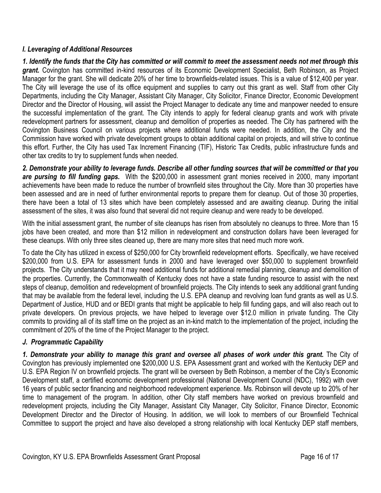### *I. Leveraging of Additional Resources*

*1. Identify the funds that the City has committed or will commit to meet the assessment needs not met through this grant.* Covington has committed in-kind resources of its Economic Development Specialist, Beth Robinson, as Project Manager for the grant. She will dedicate 20% of her time to brownfields-related issues. This is a value of \$12,400 per year. The City will leverage the use of its office equipment and supplies to carry out this grant as well. Staff from other City Departments, including the City Manager, Assistant City Manager, City Solicitor, Finance Director, Economic Development Director and the Director of Housing, will assist the Project Manager to dedicate any time and manpower needed to ensure the successful implementation of the grant. The City intends to apply for federal cleanup grants and work with private redevelopment partners for assessment, cleanup and demolition of properties as needed. The City has partnered with the Covington Business Council on various projects where additional funds were needed. In addition, the City and the Commission have worked with private development groups to obtain additional capital on projects, and will strive to continue this effort. Further, the City has used Tax Increment Financing (TIF), Historic Tax Credits, public infrastructure funds and other tax credits to try to supplement funds when needed.

*2. Demonstrate your ability to leverage funds. Describe all other funding sources that will be committed or that you are pursing to fill funding gaps.*With the \$200,000 in assessment grant monies received in 2000, many important achievements have been made to reduce the number of brownfield sites throughout the City. More than 30 properties have been assessed and are in need of further environmental reports to prepare them for cleanup. Out of those 30 properties, there have been a total of 13 sites which have been completely assessed and are awaiting cleanup. During the initial assessment of the sites, it was also found that several did not require cleanup and were ready to be developed.

With the initial assessment grant, the number of site cleanups has risen from absolutely no cleanups to three. More than 15 jobs have been created, and more than \$12 million in redevelopment and construction dollars have been leveraged for these cleanups. With only three sites cleaned up, there are many more sites that need much more work.

To date the City has utilized in excess of \$250,000 for City brownfield redevelopment efforts. Specifically, we have received \$200,000 from U.S. EPA for assessment funds in 2000 and have leveraged over \$50,000 to supplement brownfield projects. The City understands that it may need additional funds for additional remedial planning, cleanup and demolition of the properties. Currently, the Commonwealth of Kentucky does not have a state funding resource to assist with the next steps of cleanup, demolition and redevelopment of brownfield projects. The City intends to seek any additional grant funding that may be available from the federal level, including the U.S. EPA cleanup and revolving loan fund grants as well as U.S. Department of Justice, HUD and or BEDI grants that might be applicable to help fill funding gaps, and will also reach out to private developers. On previous projects, we have helped to leverage over \$12.0 million in private funding. The City commits to providing all of its staff time on the project as an in-kind match to the implementation of the project, including the commitment of 20% of the time of the Project Manager to the project.

# *J. Programmatic Capability*

*1. Demonstrate your ability to manage this grant and oversee all phases of work under this grant.* The City of Covington has previously implemented one \$200,000 U.S. EPA Assessment grant and worked with the Kentucky DEP and U.S. EPA Region IV on brownfield projects. The grant will be overseen by Beth Robinson, a member of the City's Economic Development staff, a certified economic development professional (National Development Council (NDC), 1992) with over 16 years of public sector financing and neighborhood redevelopment experience. Ms. Robinson will devote up to 20% of her time to management of the program. In addition, other City staff members have worked on previous brownfield and redevelopment projects, including the City Manager, Assistant City Manager, City Solicitor, Finance Director, Economic Development Director and the Director of Housing. In addition, we will look to members of our Brownfield Technical Committee to support the project and have also developed a strong relationship with local Kentucky DEP staff members,